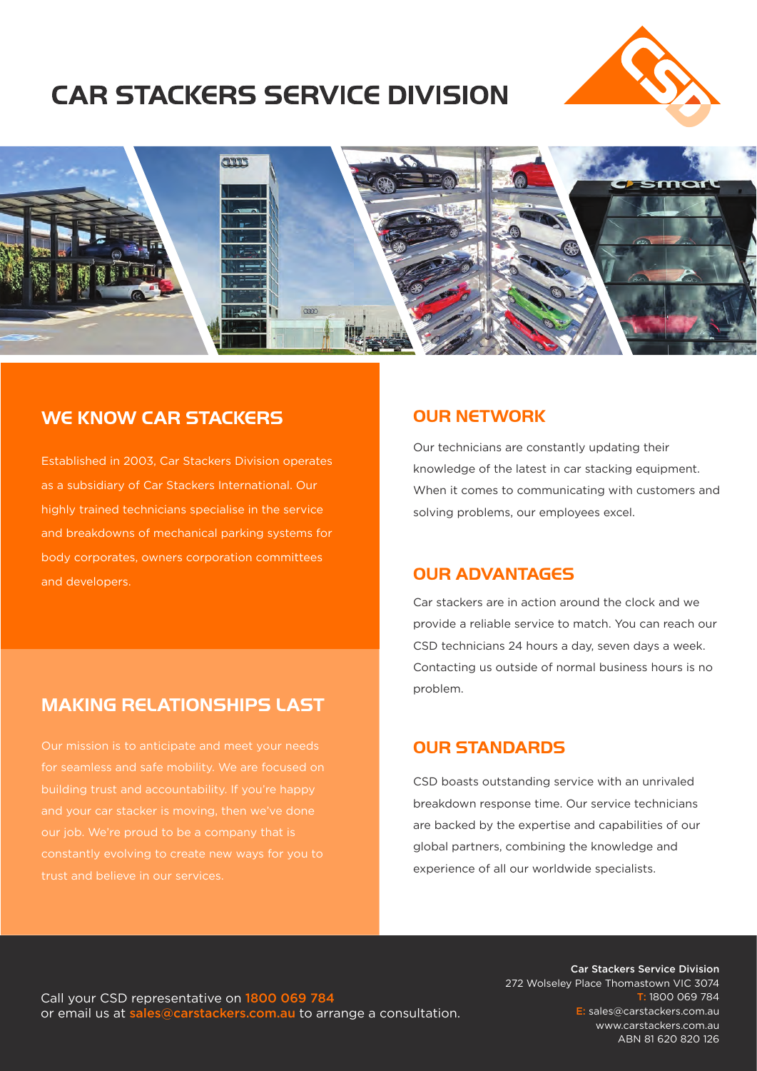# **CAR STACKERS SERVICE DIVISION**





#### WE KNOW CAR STACKERS

Established in 2003, Car Stackers Division operates as a subsidiary of Car Stackers International. Our highly trained technicians specialise in the service and breakdowns of mechanical parking systems for body corporates, owners corporation committees and developers.

#### OUR NETWORK

Our technicians are constantly updating their knowledge of the latest in car stacking equipment. When it comes to communicating with customers and solving problems, our employees excel.

#### OUR ADVANTAGES

Car stackers are in action around the clock and we provide a reliable service to match. You can reach our CSD technicians 24 hours a day, seven days a week. Contacting us outside of normal business hours is no problem.

#### OUR STANDARDS

CSD boasts outstanding service with an unrivaled breakdown response time. Our service technicians are backed by the expertise and capabilities of our global partners, combining the knowledge and experience of all our worldwide specialists.

## MAKING RELATIONSHIPS LAST

Our mission is to anticipate and meet your needs for seamless and safe mobility. We are focused on building trust and accountability. If you're happy our job. We're proud to be a company that is trust and believe in our services.

Call your CSD representative on 1800 069 784 or email us at sales@carstackers.com.au to arrange a consultation.

Car Stackers Service Division 272 Wolseley Place Thomastown VIC 3074 T: 1800 069 784 E: sales@carstackers.com.au www.carstackers.com.au ABN 81 620 820 126